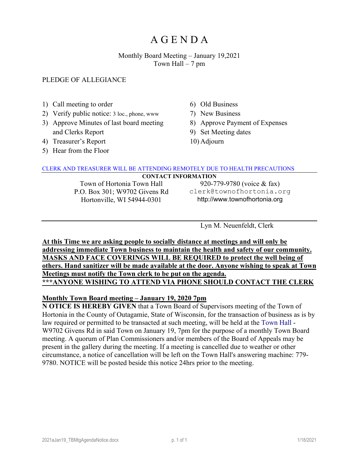## Monthly Board Meeting – January 19,2021 Town Hall  $-7$  pm

#### PLEDGE OF ALLEGIANCE

- 1) Call meeting to order
- 2) Verify public notice: 3 loc., phone, www
- 3) Approve Minutes of last board meeting and Clerks Report
- 4) Treasurer's Report
- 5) Hear from the Floor
- 6) Old Business
- 7) New Business
- 8) Approve Payment of Expenses
- 9) Set Meeting dates
- 10) Adjourn

#### CLERK AND TREASURER WILL BE ATTENDING REMOTELY DUE TO HEALTH PRECAUTIONS

#### **CONTACT INFORMATION**

Town of Hortonia Town Hall P.O. Box 301; W9702 Givens Rd Hortonville, WI 54944-0301

920-779-9780 (voice & fax) clerk@townofhortonia.org http://www.townofhortonia.org

Lyn M. Neuenfeldt, Clerk

**At this Time we are asking people to socially distance at meetings and will only be addressing immediate Town business to maintain the health and safety of our community. MASKS AND FACE COVERINGS WILL BE REQUIRED to protect the well being of others. Hand sanitizer will be made available at the door. Anyone wishing to speak at Town Meetings must notify the Town clerk to be put on the agenda. \*\*\*ANYONE WISHING TO ATTEND VIA PHONE SHOULD CONTACT THE CLERK**

#### **Monthly Town Board meeting – January 19, 2020 7pm**

**N OTICE IS HEREBY GIVEN** that a Town Board of Supervisors meeting of the Town of Hortonia in the County of Outagamie, State of Wisconsin, for the transaction of business as is by law required or permitted to be transacted at such meeting, will be held at the [Town Hall](http://townofhortonia.org/wikis/town_of_hortonia/town-hall.aspx) - W9702 Givens Rd in said Town on January 19, 7pm for the purpose of a monthly Town Board meeting. A quorum of Plan Commissioners and/or members of the Board of Appeals may be present in the gallery during the meeting. If a meeting is cancelled due to weather or other circumstance, a notice of cancellation will be left on the Town Hall's answering machine: 779- 9780. NOTICE will be posted beside this notice 24hrs prior to the meeting.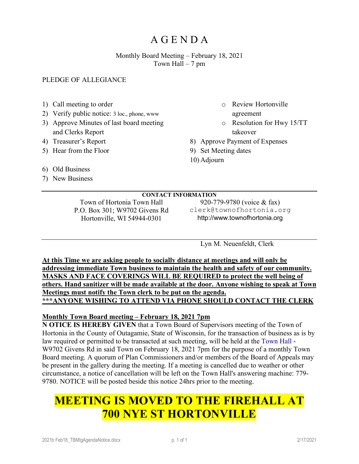## Monthly Board Meeting – February 18, 2021 Town Hall  $-7$  pm

## PLEDGE OF ALLEGIANCE

- 1) Call meeting to order
- 2) Verify public notice: 3 loc., phone, www
- 3) Approve Minutes of last board meeting and Clerks Report
- 4) Treasurer's Report
- 5) Hear from the Floor
- o Review Hortonville
	- agreement
- o Resolution for Hwy 15/TT takeover
- 8) Approve Payment of Expenses
- 9) Set Meeting dates
- 10) Adjourn

- 6) Old Business
- 7) New Business

**CONTACT INFORMATION** Town of Hortonia Town Hall P.O. Box 301; W9702 Givens Rd Hortonville, WI 54944-0301

920-779-9780 (voice & fax) clerk@townofhortonia.org http://www.townofhortonia.org

Lyn M. Neuenfeldt, Clerk

**At this Time we are asking people to socially distance at meetings and will only be addressing immediate Town business to maintain the health and safety of our community. MASKS AND FACE COVERINGS WILL BE REQUIRED to protect the well being of others. Hand sanitizer will be made available at the door. Anyone wishing to speak at Town Meetings must notify the Town clerk to be put on the agenda. \*\*\*ANYONE WISHING TO ATTEND VIA PHONE SHOULD CONTACT THE CLERK**

## **Monthly Town Board meeting – February 18, 2021 7pm**

**N OTICE IS HEREBY GIVEN** that a Town Board of Supervisors meeting of the Town of Hortonia in the County of Outagamie, State of Wisconsin, for the transaction of business as is by law required or permitted to be transacted at such meeting, will be held at the [Town Hall](http://townofhortonia.org/wikis/town_of_hortonia/town-hall.aspx) - W9702 Givens Rd in said Town on February 18, 2021 7pm for the purpose of a monthly Town Board meeting. A quorum of Plan Commissioners and/or members of the Board of Appeals may be present in the gallery during the meeting. If a meeting is cancelled due to weather or other circumstance, a notice of cancellation will be left on the Town Hall's answering machine: 779- 9780. NOTICE will be posted beside this notice 24hrs prior to the meeting.

# **MEETING IS MOVED TO THE FIREHALL AT 700 NYE ST HORTONVILLE**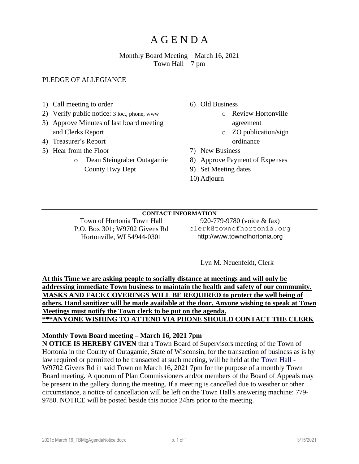## Monthly Board Meeting – March 16, 2021 Town Hall  $-7$  pm

### PLEDGE OF ALLEGIANCE

- 1) Call meeting to order
- 2) Verify public notice: 3 loc., phone, www
- 3) Approve Minutes of last board meeting and Clerks Report
- 4) Treasurer's Report
- 5) Hear from the Floor
	- o Dean Steingraber Outagamie County Hwy Dept
- 6) Old Business
	- o Review Hortonville agreement
		- o ZO publication/sign ordinance
- 7) New Business
- 8) Approve Payment of Expenses
- 9) Set Meeting dates
- 10) Adjourn

#### **CONTACT INFORMATION**

Town of Hortonia Town Hall P.O. Box 301; W9702 Givens Rd Hortonville, WI 54944-0301

920-779-9780 (voice & fax) clerk@townofhortonia.org http://www.townofhortonia.org

Lyn M. Neuenfeldt, Clerk

**At this Time we are asking people to socially distance at meetings and will only be addressing immediate Town business to maintain the health and safety of our community. MASKS AND FACE COVERINGS WILL BE REQUIRED to protect the well being of others. Hand sanitizer will be made available at the door. Anyone wishing to speak at Town Meetings must notify the Town clerk to be put on the agenda. \*\*\*ANYONE WISHING TO ATTEND VIA PHONE SHOULD CONTACT THE CLERK**

#### **Monthly Town Board meeting – March 16, 2021 7pm**

**N OTICE IS HEREBY GIVEN** that a Town Board of Supervisors meeting of the Town of Hortonia in the County of Outagamie, State of Wisconsin, for the transaction of business as is by law required or permitted to be transacted at such meeting, will be held at the [Town Hall](http://townofhortonia.org/wikis/town_of_hortonia/town-hall.aspx) - W9702 Givens Rd in said Town on March 16, 2021 7pm for the purpose of a monthly Town Board meeting. A quorum of Plan Commissioners and/or members of the Board of Appeals may be present in the gallery during the meeting. If a meeting is cancelled due to weather or other circumstance, a notice of cancellation will be left on the Town Hall's answering machine: 779- 9780. NOTICE will be posted beside this notice 24hrs prior to the meeting.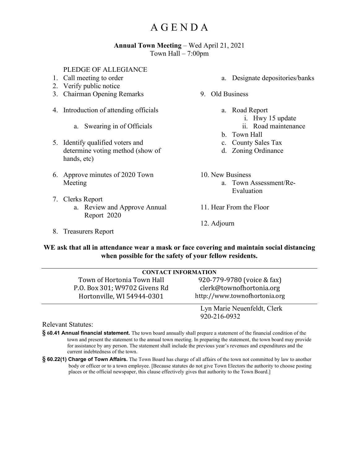#### **Annual Town Meeting** – Wed April 21, 2021 Town Hall – 7:00pm

#### PLEDGE OF ALLEGIANCE

- 1. Call meeting to order
- 2. Verify public notice
- 3. Chairman Opening Remarks
- 4. Introduction of attending officials
	- a. Swearing in of Officials
- 5. Identify qualified voters and determine voting method (show of hands, etc)
- 6. Approve minutes of 2020 Town Meeting
- 7. Clerks Report
	- a. Review and Approve Annual Report 2020
- 8. Treasurers Report
- a. Designate depositories/banks
- 9. Old Business
	- a. Road Report
		- i. Hwy 15 update
		- ii. Road maintenance
	- b. Town Hall
	- c. County Sales Tax
	- d. Zoning Ordinance
- 10. New Business
	- a. Town Assessment/Re-Evaluation
- 11. Hear From the Floor
- 12. Adjourn

#### **WE ask that all in attendance wear a mask or face covering and maintain social distancing when possible for the safety of your fellow residents.**

| <b>CONTACT INFORMATION</b>    |                               |
|-------------------------------|-------------------------------|
| Town of Hortonia Town Hall    | 920-779-9780 (voice & fax)    |
| P.O. Box 301; W9702 Givens Rd | clerk@townofhortonia.org      |
| Hortonville, WI 54944-0301    | http://www.townofhortonia.org |
|                               |                               |
|                               | Lyn Marie Neuenfeldt, Clerk   |
|                               | 920-216-0932                  |

Relevant Statutes:

- **§ 60.41 Annual financial statement.** The town board annually shall prepare a statement of the financial condition of the town and present the statement to the annual town meeting. In preparing the statement, the town board may provide for assistance by any person. The statement shall include the previous year's revenues and expenditures and the current indebtedness of the town.
- **§ 60.22(1) Charge of Town Affairs.** The Town Board has charge of all affairs of the town not committed by law to another body or officer or to a town employee. [Because statutes do not give Town Electors the authority to choose posting places or the official newspaper, this clause effectively gives that authority to the Town Board.]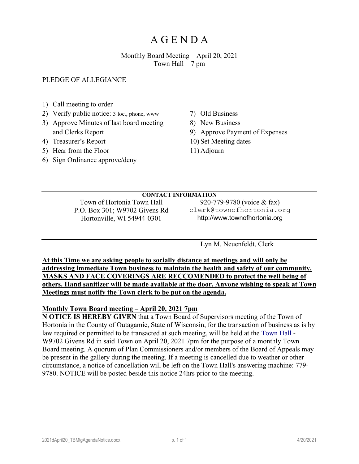### Monthly Board Meeting – April 20, 2021 Town Hall  $-7$  pm

PLEDGE OF ALLEGIANCE

- 1) Call meeting to order
- 2) Verify public notice: 3 loc., phone, www
- 3) Approve Minutes of last board meeting and Clerks Report
- 4) Treasurer's Report
- 5) Hear from the Floor
- 6) Sign Ordinance approve/deny
- 7) Old Business
- 8) New Business
- 9) Approve Payment of Expenses
- 10) Set Meeting dates
- 11) Adjourn

#### **CONTACT INFORMATION**

Town of Hortonia Town Hall P.O. Box 301; W9702 Givens Rd Hortonville, WI 54944-0301

920-779-9780 (voice & fax) clerk@townofhortonia.org http://www.townofhortonia.org

Lyn M. Neuenfeldt, Clerk

**At this Time we are asking people to socially distance at meetings and will only be addressing immediate Town business to maintain the health and safety of our community. MASKS AND FACE COVERINGS ARE RECCOMENDED to protect the well being of others. Hand sanitizer will be made available at the door. Anyone wishing to speak at Town Meetings must notify the Town clerk to be put on the agenda.**

#### **Monthly Town Board meeting – April 20, 2021 7pm**

**N OTICE IS HEREBY GIVEN** that a Town Board of Supervisors meeting of the Town of Hortonia in the County of Outagamie, State of Wisconsin, for the transaction of business as is by law required or permitted to be transacted at such meeting, will be held at the [Town Hall](http://townofhortonia.org/wikis/town_of_hortonia/town-hall.aspx) - W9702 Givens Rd in said Town on April 20, 2021 7pm for the purpose of a monthly Town Board meeting. A quorum of Plan Commissioners and/or members of the Board of Appeals may be present in the gallery during the meeting. If a meeting is cancelled due to weather or other circumstance, a notice of cancellation will be left on the Town Hall's answering machine: 779- 9780. NOTICE will be posted beside this notice 24hrs prior to the meeting.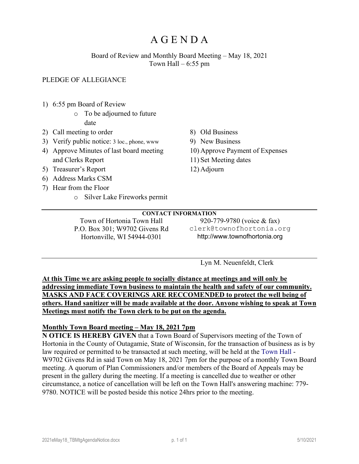## Board of Review and Monthly Board Meeting – May 18, 2021 Town Hall  $-6:55$  pm

## PLEDGE OF ALLEGIANCE

- 1) 6:55 pm Board of Review
	- o To be adjourned to future date
- 2) Call meeting to order
- 3) Verify public notice: 3 loc., phone, www
- 4) Approve Minutes of last board meeting and Clerks Report
- 5) Treasurer's Report
- 6) Address Marks CSM
- 7) Hear from the Floor
	- o Silver Lake Fireworks permit
- 8) Old Business
- 9) New Business
- 10) Approve Payment of Expenses
- 11) Set Meeting dates
- 12) Adjourn

#### **CONTACT INFORMATION**

Town of Hortonia Town Hall P.O. Box 301; W9702 Givens Rd Hortonville, WI 54944-0301

920-779-9780 (voice & fax) clerk@townofhortonia.org http://www.townofhortonia.org

Lyn M. Neuenfeldt, Clerk

**At this Time we are asking people to socially distance at meetings and will only be addressing immediate Town business to maintain the health and safety of our community. MASKS AND FACE COVERINGS ARE RECCOMENDED to protect the well being of others. Hand sanitizer will be made available at the door. Anyone wishing to speak at Town Meetings must notify the Town clerk to be put on the agenda.**

#### **Monthly Town Board meeting – May 18, 2021 7pm**

**N OTICE IS HEREBY GIVEN** that a Town Board of Supervisors meeting of the Town of Hortonia in the County of Outagamie, State of Wisconsin, for the transaction of business as is by law required or permitted to be transacted at such meeting, will be held at the [Town Hall](http://townofhortonia.org/wikis/town_of_hortonia/town-hall.aspx) - W9702 Givens Rd in said Town on May 18, 2021 7pm for the purpose of a monthly Town Board meeting. A quorum of Plan Commissioners and/or members of the Board of Appeals may be present in the gallery during the meeting. If a meeting is cancelled due to weather or other circumstance, a notice of cancellation will be left on the Town Hall's answering machine: 779- 9780. NOTICE will be posted beside this notice 24hrs prior to the meeting.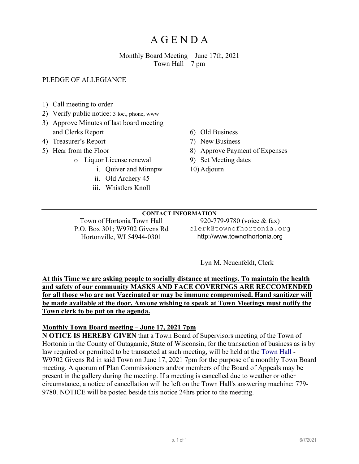## Monthly Board Meeting – June 17th, 2021 Town Hall  $-7$  pm

## PLEDGE OF ALLEGIANCE

- 1) Call meeting to order
- 2) Verify public notice: 3 loc., phone, www
- 3) Approve Minutes of last board meeting and Clerks Report
- 4) Treasurer's Report
- 5) Hear from the Floor
	- o Liquor License renewal
		- i. Quiver and Minnpw
		- ii. Old Archery 45
		- iii. Whistlers Knoll
- 6) Old Business
- 7) New Business
- 8) Approve Payment of Expenses
- 9) Set Meeting dates
- 10) Adjourn

## **CONTACT INFORMATION**

Town of Hortonia Town Hall P.O. Box 301; W9702 Givens Rd Hortonville, WI 54944-0301

920-779-9780 (voice & fax) clerk@townofhortonia.org http://www.townofhortonia.org

Lyn M. Neuenfeldt, Clerk

**At this Time we are asking people to socially distance at meetings. To maintain the health and safety of our community MASKS AND FACE COVERINGS ARE RECCOMENDED for all those who are not Vaccinated or may be immune compromised. Hand sanitizer will be made available at the door. Anyone wishing to speak at Town Meetings must notify the Town clerk to be put on the agenda.**

#### **Monthly Town Board meeting – June 17, 2021 7pm**

**N OTICE IS HEREBY GIVEN** that a Town Board of Supervisors meeting of the Town of Hortonia in the County of Outagamie, State of Wisconsin, for the transaction of business as is by law required or permitted to be transacted at such meeting, will be held at the [Town Hall](http://townofhortonia.org/wikis/town_of_hortonia/town-hall.aspx) - W9702 Givens Rd in said Town on June 17, 2021 7pm for the purpose of a monthly Town Board meeting. A quorum of Plan Commissioners and/or members of the Board of Appeals may be present in the gallery during the meeting. If a meeting is cancelled due to weather or other circumstance, a notice of cancellation will be left on the Town Hall's answering machine: 779- 9780. NOTICE will be posted beside this notice 24hrs prior to the meeting.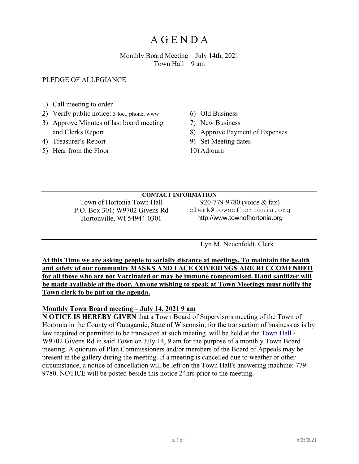## Monthly Board Meeting – July 14th, 2021 Town Hall – 9 am

PLEDGE OF ALLEGIANCE

- 1) Call meeting to order
- 2) Verify public notice: 3 loc., phone, www
- 3) Approve Minutes of last board meeting and Clerks Report
- 4) Treasurer's Report
- 5) Hear from the Floor
- 6) Old Business
- 7) New Business
- 8) Approve Payment of Expenses
- 9) Set Meeting dates
- 10) Adjourn

#### **CONTACT INFORMATION**

Town of Hortonia Town Hall P.O. Box 301; W9702 Givens Rd Hortonville, WI 54944-0301

920-779-9780 (voice & fax) clerk@townofhortonia.org http://www.townofhortonia.org

Lyn M. Neuenfeldt, Clerk

**At this Time we are asking people to socially distance at meetings. To maintain the health and safety of our community MASKS AND FACE COVERINGS ARE RECCOMENDED for all those who are not Vaccinated or may be immune compromised. Hand sanitizer will be made available at the door. Anyone wishing to speak at Town Meetings must notify the Town clerk to be put on the agenda.** 

## **Monthly Town Board meeting – July 14, 2021 9 am**

**N OTICE IS HEREBY GIVEN** that a Town Board of Supervisors meeting of the Town of Hortonia in the County of Outagamie, State of Wisconsin, for the transaction of business as is by law required or permitted to be transacted at such meeting, will be held at the [Town Hall](http://townofhortonia.org/wikis/town_of_hortonia/town-hall.aspx) - W9702 Givens Rd in said Town on July 14, 9 am for the purpose of a monthly Town Board meeting. A quorum of Plan Commissioners and/or members of the Board of Appeals may be present in the gallery during the meeting. If a meeting is cancelled due to weather or other circumstance, a notice of cancellation will be left on the Town Hall's answering machine: 779- 9780. NOTICE will be posted beside this notice 24hrs prior to the meeting.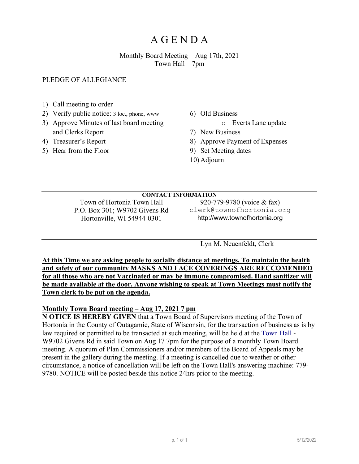## Monthly Board Meeting – Aug 17th, 2021 Town Hall – 7pm

### PLEDGE OF ALLEGIANCE

- 1) Call meeting to order
- 2) Verify public notice: 3 loc., phone, www
- 3) Approve Minutes of last board meeting and Clerks Report
- 4) Treasurer's Report
- 5) Hear from the Floor
- 6) Old Business
	- o Everts Lane update
- 7) New Business
- 8) Approve Payment of Expenses
- 9) Set Meeting dates
- 10) Adjourn

## **CONTACT INFORMATION**

Town of Hortonia Town Hall P.O. Box 301; W9702 Givens Rd Hortonville, WI 54944-0301

920-779-9780 (voice & fax) clerk@townofhortonia.org http://www.townofhortonia.org

Lyn M. Neuenfeldt, Clerk

**At this Time we are asking people to socially distance at meetings. To maintain the health and safety of our community MASKS AND FACE COVERINGS ARE RECCOMENDED for all those who are not Vaccinated or may be immune compromised. Hand sanitizer will be made available at the door. Anyone wishing to speak at Town Meetings must notify the Town clerk to be put on the agenda.**

## **Monthly Town Board meeting – Aug 17, 2021 7 pm**

**N OTICE IS HEREBY GIVEN** that a Town Board of Supervisors meeting of the Town of Hortonia in the County of Outagamie, State of Wisconsin, for the transaction of business as is by law required or permitted to be transacted at such meeting, will be held at the [Town Hall](http://townofhortonia.org/wikis/town_of_hortonia/town-hall.aspx) - W9702 Givens Rd in said Town on Aug 17 7pm for the purpose of a monthly Town Board meeting. A quorum of Plan Commissioners and/or members of the Board of Appeals may be present in the gallery during the meeting. If a meeting is cancelled due to weather or other circumstance, a notice of cancellation will be left on the Town Hall's answering machine: 779- 9780. NOTICE will be posted beside this notice 24hrs prior to the meeting.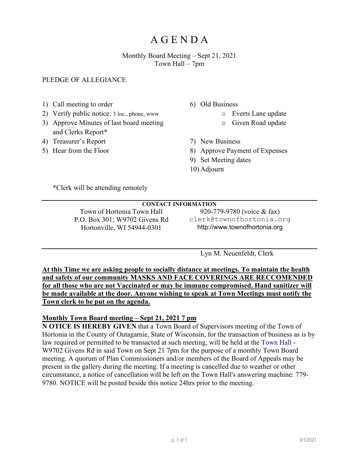## Monthly Board Meeting – Sept 21, 2021 Town Hall – 7pm

## PLEDGE OF ALLEGIANCE

- 1) Call meeting to order
- 2) Verify public notice: 3 loc., phone, www
- 3) Approve Minutes of last board meeting and Clerks Report\*
- 4) Treasurer's Report
- 5) Hear from the Floor
- 6) Old Business
	- o Everts Lane update
	- o Given Road update
- 7) New Business
- 8) Approve Payment of Expenses
- 9) Set Meeting dates
- 10) Adjourn

\*Clerk will be attending remotely

## **CONTACT INFORMATION** Town of Hortonia Town Hall P.O. Box 301; W9702 Givens Rd

Hortonville, WI 54944-0301

920-779-9780 (voice & fax) clerk@townofhortonia.org http://www.townofhortonia.org

Lyn M. Neuenfeldt, Clerk

**At this Time we are asking people to socially distance at meetings. To maintain the health and safety of our community MASKS AND FACE COVERINGS ARE RECCOMENDED for all those who are not Vaccinated or may be immune compromised. Hand sanitizer will be made available at the door. Anyone wishing to speak at Town Meetings must notify the Town clerk to be put on the agenda.**

## **Monthly Town Board meeting – Sept 21, 2021 7 pm**

**N OTICE IS HEREBY GIVEN** that a Town Board of Supervisors meeting of the Town of Hortonia in the County of Outagamie, State of Wisconsin, for the transaction of business as is by law required or permitted to be transacted at such meeting, will be held at the [Town Hall](http://townofhortonia.org/wikis/town_of_hortonia/town-hall.aspx) - W9702 Givens Rd in said Town on Sept 21 7pm for the purpose of a monthly Town Board meeting. A quorum of Plan Commissioners and/or members of the Board of Appeals may be present in the gallery during the meeting. If a meeting is cancelled due to weather or other circumstance, a notice of cancellation will be left on the Town Hall's answering machine: 779- 9780. NOTICE will be posted beside this notice 24hrs prior to the meeting.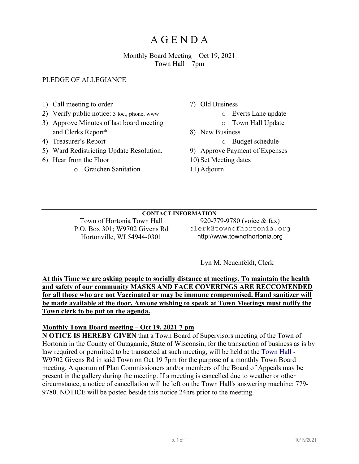## Monthly Board Meeting – Oct 19, 2021 Town Hall – 7pm

## PLEDGE OF ALLEGIANCE

- 1) Call meeting to order
- 2) Verify public notice: 3 loc., phone, www
- 3) Approve Minutes of last board meeting and Clerks Report\*
- 4) Treasurer's Report
- 5) Ward Redistricting Update Resolution.
- 6) Hear from the Floor
	- o Graichen Sanitation
- 7) Old Business
	- o Everts Lane update
		- o Town Hall Update
- 8) New Business
	- o Budget schedule
- 9) Approve Payment of Expenses
- 10) Set Meeting dates
- 11) Adjourn

## **CONTACT INFORMATION**

Town of Hortonia Town Hall P.O. Box 301; W9702 Givens Rd Hortonville, WI 54944-0301

920-779-9780 (voice & fax) clerk@townofhortonia.org http://www.townofhortonia.org

Lyn M. Neuenfeldt, Clerk

**At this Time we are asking people to socially distance at meetings. To maintain the health and safety of our community MASKS AND FACE COVERINGS ARE RECCOMENDED for all those who are not Vaccinated or may be immune compromised. Hand sanitizer will be made available at the door. Anyone wishing to speak at Town Meetings must notify the Town clerk to be put on the agenda.**

#### **Monthly Town Board meeting – Oct 19, 2021 7 pm**

**N OTICE IS HEREBY GIVEN** that a Town Board of Supervisors meeting of the Town of Hortonia in the County of Outagamie, State of Wisconsin, for the transaction of business as is by law required or permitted to be transacted at such meeting, will be held at the [Town Hall](http://townofhortonia.org/wikis/town_of_hortonia/town-hall.aspx) - W9702 Givens Rd in said Town on Oct 19 7pm for the purpose of a monthly Town Board meeting. A quorum of Plan Commissioners and/or members of the Board of Appeals may be present in the gallery during the meeting. If a meeting is cancelled due to weather or other circumstance, a notice of cancellation will be left on the Town Hall's answering machine: 779- 9780. NOTICE will be posted beside this notice 24hrs prior to the meeting.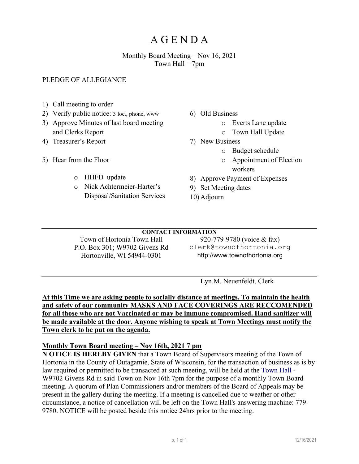## Monthly Board Meeting – Nov 16, 2021 Town Hall – 7pm

## PLEDGE OF ALLEGIANCE

- 1) Call meeting to order
- 2) Verify public notice: 3 loc., phone, www
- 3) Approve Minutes of last board meeting and Clerks Report
- 4) Treasurer's Report
- 5) Hear from the Floor
	- o HHFD update
	- o Nick Achtermeier-Harter's Disposal/Sanitation Services
- 6) Old Business
	- o Everts Lane update
	- o Town Hall Update
- 7) New Business
	- o Budget schedule
	- o Appointment of Election workers
- 8) Approve Payment of Expenses
- 9) Set Meeting dates
- 10) Adjourn

#### **CONTACT INFORMATION**

Town of Hortonia Town Hall P.O. Box 301; W9702 Givens Rd Hortonville, WI 54944-0301

920-779-9780 (voice & fax) clerk@townofhortonia.org http://www.townofhortonia.org

Lyn M. Neuenfeldt, Clerk

**At this Time we are asking people to socially distance at meetings. To maintain the health and safety of our community MASKS AND FACE COVERINGS ARE RECCOMENDED for all those who are not Vaccinated or may be immune compromised. Hand sanitizer will be made available at the door. Anyone wishing to speak at Town Meetings must notify the Town clerk to be put on the agenda.**

## **Monthly Town Board meeting – Nov 16th, 2021 7 pm**

**N OTICE IS HEREBY GIVEN** that a Town Board of Supervisors meeting of the Town of Hortonia in the County of Outagamie, State of Wisconsin, for the transaction of business as is by law required or permitted to be transacted at such meeting, will be held at the [Town Hall](http://townofhortonia.org/wikis/town_of_hortonia/town-hall.aspx) - W9702 Givens Rd in said Town on Nov 16th 7pm for the purpose of a monthly Town Board meeting. A quorum of Plan Commissioners and/or members of the Board of Appeals may be present in the gallery during the meeting. If a meeting is cancelled due to weather or other circumstance, a notice of cancellation will be left on the Town Hall's answering machine: 779- 9780. NOTICE will be posted beside this notice 24hrs prior to the meeting.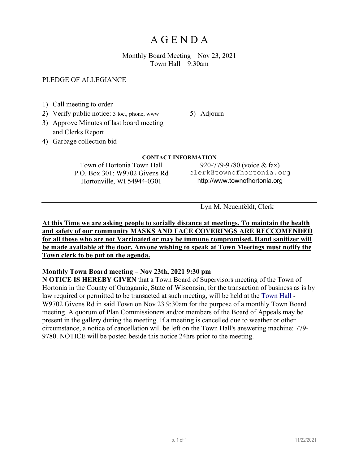Monthly Board Meeting – Nov 23, 2021 Town Hall  $-9:30$ am

### PLEDGE OF ALLEGIANCE

- 1) Call meeting to order
- 2) Verify public notice: 3 loc., phone, www

5) Adjourn

- 3) Approve Minutes of last board meeting and Clerks Report
- 4) Garbage collection bid

#### **CONTACT INFORMATION**

Town of Hortonia Town Hall P.O. Box 301; W9702 Givens Rd Hortonville, WI 54944-0301

920-779-9780 (voice & fax) clerk@townofhortonia.org http://www.townofhortonia.org

Lyn M. Neuenfeldt, Clerk

### **At this Time we are asking people to socially distance at meetings. To maintain the health and safety of our community MASKS AND FACE COVERINGS ARE RECCOMENDED for all those who are not Vaccinated or may be immune compromised. Hand sanitizer will be made available at the door. Anyone wishing to speak at Town Meetings must notify the Town clerk to be put on the agenda.**

## **Monthly Town Board meeting – Nov 23th, 2021 9:30 pm**

**N OTICE IS HEREBY GIVEN** that a Town Board of Supervisors meeting of the Town of Hortonia in the County of Outagamie, State of Wisconsin, for the transaction of business as is by law required or permitted to be transacted at such meeting, will be held at the [Town Hall](http://townofhortonia.org/wikis/town_of_hortonia/town-hall.aspx) - W9702 Givens Rd in said Town on Nov 23 9:30am for the purpose of a monthly Town Board meeting. A quorum of Plan Commissioners and/or members of the Board of Appeals may be present in the gallery during the meeting. If a meeting is cancelled due to weather or other circumstance, a notice of cancellation will be left on the Town Hall's answering machine: 779- 9780. NOTICE will be posted beside this notice 24hrs prior to the meeting.